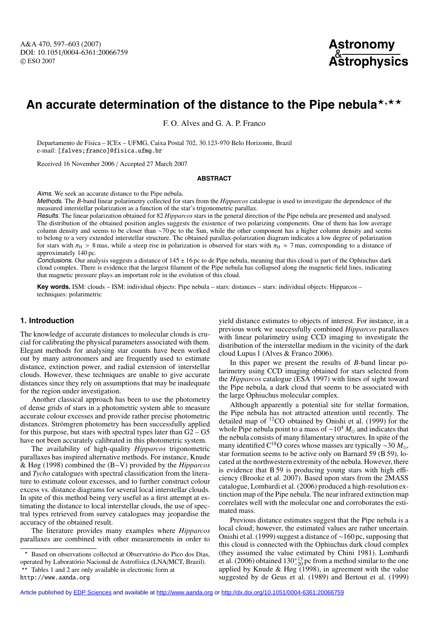A&A 470, 597–603 (2007) DOI: 10.1051/0004-6361:20066759 c ESO 2007



# An accurate determination of the distance to the Pipe nebula<sup>\*,\*\*</sup>

F. O. Alves and G. A. P. Franco

Departamento de Física – ICEx – UFMG, Caixa Postal 702, 30.123-970 Belo Horizonte, Brazil e-mail: [falves;franco]@fisica.ufmg.br

Received 16 November 2006 / Accepted 27 March 2007

#### **ABSTRACT**

Aims. We seek an accurate distance to the Pipe nebula.

Methods. The *B*-band linear polarimetry collected for stars from the *Hipparcos* catalogue is used to investigate the dependence of the measured interstellar polarization as a function of the star's trigonometric parallax.

Results. The linear polarization obtained for 82 *Hipparcos* stars in the general direction of the Pipe nebula are presented and analysed. The distribution of the obtained position angles suggests the existence of two polarizing components. One of them has low average column density and seems to be closer than ∼70 pc to the Sun, while the other component has a higher column density and seems to belong to a very extended interstellar structure. The obtained parallax-polarization diagram indicates a low degree of polarization for stars with  $\pi_H > 8$  mas, while a steep rise in polarization is observed for stars with  $\pi_H \approx 7$  mas, corresponding to a distance of approximately 140 pc.

Conclusions. Our analysis suggests a distance of  $145 \pm 16$  pc to de Pipe nebula, meaning that this cloud is part of the Ophiuchus dark cloud complex. There is evidence that the largest filament of the Pipe nebula has collapsed along the magnetic field lines, indicating that magnetic pressure plays an important role in the evolution of this cloud.

Key words. ISM: clouds – ISM: individual objects: Pipe nebula – stars: distances – stars: individual objects: Hipparcos – techniques: polarimetric

# **1. Introduction**

The knowledge of accurate distances to molecular clouds is crucial for calibrating the physical parameters associated with them. Elegant methods for analysing star counts have been worked out by many astronomers and are frequently used to estimate distance, extinction power, and radial extension of interstellar clouds. However, these techniques are unable to give accurate distances since they rely on assumptions that may be inadequate for the region under investigation.

Another classical approach has been to use the photometry of dense grids of stars in a photometric system able to measure accurate colour excesses and provide rather precise photometric distances. Strömgren photometry has been successfully applied for this purpose, but stars with spectral types later than  $G2 - G5$ have not been accurately calibrated in this photometric system.

The availability of high-quality *Hipparcos* trigonometric parallaxes has inspired alternative methods. For instance, Knude & Høg (1998) combined the (B−V) provided by the *Hipparcos* and *Tycho* catalogues with spectral classification from the literature to estimate colour excesses, and to further construct colour excess vs. distance diagrams for several local interstellar clouds. In spite of this method being very useful as a first attempt at estimating the distance to local interstellar clouds, the use of spectral types retrieved from survey catalogues may jeopardise the accuracy of the obtained result.

The literature provides many examples where *Hipparcos* parallaxes are combined with other measurements in order to

- Based on observations collected at Observatório do Pico dos Dias, operated by Laboratório Nacional de Astrofísica (LNA/MCT, Brazil). \*\* Tables 1 and 2 are only available in electronic form at http://www.aanda.org

yield distance estimates to objects of interest. For instance, in a previous work we successfully combined *Hipparcos* parallaxes with linear polarimetry using CCD imaging to investigate the distribution of the interstellar medium in the vicinity of the dark cloud Lupus 1 (Alves & Franco 2006).

In this paper we present the results of *B*-band linear polarimetry using CCD imaging obtained for stars selected from the *Hipparcos* catalogue (ESA 1997) with lines of sight toward the Pipe nebula, a dark cloud that seems to be associated with the large Ophiuchus molecular complex.

Although apparently a potential site for stellar formation, the Pipe nebula has not attracted attention until recently. The detailed map of 12CO obtained by Onishi et al. (1999) for the whole Pipe nebula point to a mass of ~10<sup>4</sup>  $M_{\odot}$  and indicates that the nebula consists of many filamentary structures. In spite of the many identified C<sup>18</sup>O cores whose masses are typically ~30 *M*<sub>⊙</sub>, star formation seems to be active only on Barnard 59 (B 59), located at the northwestern extremity of the nebula. However, there is evidence that B 59 is producing young stars with high efficiency (Brooke et al. 2007). Based upon stars from the 2MASS catalogue, Lombardi et al. (2006) produced a high-resolution extinction map of the Pipe nebula. The near infrared extinction map correlates well with the molecular one and corroborates the estimated mass.

Previous distance estimates suggest that the Pipe nebula is a local cloud; however, the estimated values are rather uncertain. Onishi et al. (1999) suggest a distance of ∼160 pc, supposing that this cloud is connected with the Ophiuchus dark cloud complex (they assumed the value estimated by Chini 1981). Lombardi et al. (2006) obtained  $130^{+13}_{-20}$  pc from a method similar to the one<br>capalical by Kanda  $\frac{6}{2}$  Hz  $\frac{2(1008)}{2(1008)}$  in conservant with the value applied by Knude & Høg  $(1998)$ , in agreement with the value suggested by de Geus et al. (1989) and Bertout et al. (1999)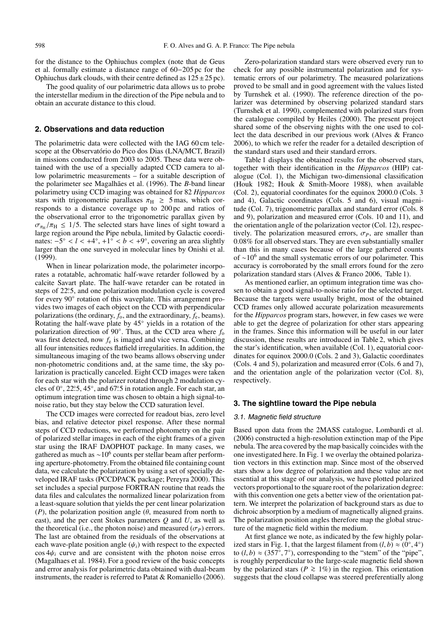for the distance to the Ophiuchus complex (note that de Geus et al. formally estimate a distance range of 60−205 pc for the Ophiuchus dark clouds, with their centre defined as  $125 \pm 25$  pc).

The good quality of our polarimetric data allows us to probe the interstellar medium in the direction of the Pipe nebula and to obtain an accurate distance to this cloud.

#### **2. Observations and data reduction**

The polarimetric data were collected with the IAG 60 cm telescope at the Observatório do Pico dos Dias (LNA/MCT, Brazil) in missions conducted from 2003 to 2005. These data were obtained with the use of a specially adapted CCD camera to allow polarimetric measurements – for a suitable description of the polarimeter see Magalhães et al. (1996). The *B*-band linear polarimetry using CCD imaging was obtained for 82 *Hipparcos* stars with trigonometric parallaxes  $\pi_H \geq 5$  mas, which corresponds to a distance coverage up to 200 pc and ratios of the observational error to the trigonometric parallax given by  $\sigma_{\pi_{\text{H}}} / \pi_{\text{H}} \leq 1/5$ . The selected stars have lines of sight toward a large region around the Pipe nebula, limited by Galactic coordinates: −5◦ < *l* < +4◦, +1◦ < *b* < +9◦, covering an area slightly larger than the one surveyed in molecular lines by Onishi et al.  $(1999)$ .

When in linear polarization mode, the polarimeter incorporates a rotatable, achromatic half-wave retarder followed by a calcite Savart plate. The half-wave retarder can be rotated in steps of 22°.5, and one polarization modulation cycle is covered for every 90° rotation of this waveplate. This arrangement provides two images of each object on the CCD with perpendicular polarizations (the ordinary,  $f_0$ , and the extraordinary,  $f_e$ , beams). Rotating the half-wave plate by 45◦ yields in a rotation of the polarization direction of 90°. Thus, at the CCD area where *f*<sub>o</sub> was first detected, now  $f_e$  is imaged and vice versa. Combining all four intensities reduces flatfield irregularities. In addition, the simultaneous imaging of the two beams allows observing under non-photometric conditions and, at the same time, the sky polarization is practically canceled. Eight CCD images were taken for each star with the polarizer rotated through 2 modulation cycles of  $0^\circ$ , 22.5, 45 $^\circ$ , and 67.5 in rotation angle. For each star, an optimum integration time was chosen to obtain a high signal-tonoise ratio, but they stay below the CCD saturation level.

The CCD images were corrected for readout bias, zero level bias, and relative detector pixel response. After these normal steps of CCD reductions, we performed photometry on the pair of polarized stellar images in each of the eight frames of a given star using the IRAF DAOPHOT package. In many cases, we gathered as much as  $\sim$ 10<sup>6</sup> counts per stellar beam after performing aperture-photometry.From the obtained file containing count data, we calculate the polarization by using a set of specially developed IRAF tasks (PCCDPACK package; Pereyra 2000). This set includes a special purpose FORTRAN routine that reads the data files and calculates the normalized linear polarization from a least-square solution that yields the per cent linear polarization (*P*), the polarization position angle ( $\theta$ , measured from north to east), and the per cent Stokes parameters *Q* and *U*, as well as the theoretical (i.e., the photon noise) and measured  $(\sigma_P)$  errors. The last are obtained from the residuals of the observations at each wave-plate position angle  $(\psi_i)$  with respect to the expected  $\cos 4\psi_i$  curve and are consistent with the photon noise erros (Magalhaes et al. 1984). For a good review of the basic concepts and error analysis for polarimetric data obtained with dual-beam instruments, the reader is referred to Patat & Romaniello (2006).

Zero-polarization standard stars were observed every run to check for any possible instrumental polarization and for systematic errors of our polarimetry. The measured polarizations proved to be small and in good agreement with the values listed by Turnshek et al. (1990). The reference direction of the polarizer was determined by observing polarized standard stars (Turnshek et al. 1990), complemented with polarized stars from the catalogue compiled by Heiles (2000). The present project shared some of the observing nights with the one used to collect the data described in our previous work (Alves & Franco 2006), to which we refer the reader for a detailed description of the standard stars used and their standard errors.

Table 1 displays the obtained results for the observed stars, together with their identification in the *Hipparcos* (HIP) catalogue (Col. 1), the Michigan two-dimensional classification (Houk 1982; Houk & Smith-Moore 1988), when available (Col. 2), equatorial coordinates for the equinox 2000.0 (Cols. 3 and 4), Galactic coordinates (Cols. 5 and 6), visual magnitude (Col. 7), trigonometric parallax and standard error (Cols. 8 and 9), polarization and measured error (Cols. 10 and 11), and the orientation angle of the polarization vector (Col. 12), respectively. The polarization measured errors,  $\sigma_P$ , are smaller than 0.08% for all observed stars. They are even substantially smaller than this in many cases because of the large gathered counts of <sup>∼</sup>10<sup>6</sup> and the small systematic errors of our polarimeter. This accuracy is corroborated by the small errors found for the zero polarization standard stars (Alves & Franco 2006, Table 1).

As mentioned earlier, an optimum integration time was chosen to obtain a good signal-to-noise ratio for the selected target. Because the targets were usually bright, most of the obtained CCD frames only allowed accurate polarization measurements for the *Hipparcos* program stars, however, in few cases we were able to get the degree of polarization for other stars appearing in the frames. Since this information will be useful in our later discussion, these results are introduced in Table 2, which gives the star's identification, when available (Col. 1), equatorial coordinates for equinox 2000.0 (Cols. 2 and 3), Galactic coordinates (Cols. 4 and 5), polarization and measured error (Cols. 6 and 7), and the orientation angle of the polarization vector (Col. 8), respectively.

# **3. The sightline toward the Pipe nebula**

#### 3.1. Magnetic field structure

Based upon data from the 2MASS catalogue, Lombardi et al. (2006) constructed a high-resolution extinction map of the Pipe nebula. The area covered by the map basically coincides with the one investigated here. In Fig. 1 we overlay the obtained polarization vectors in this extinction map. Since most of the observed stars show a low degree of polarization and these value are not essential at this stage of our analysis, we have plotted polarized vectors proportional to the square root of the polarization degree: with this convention one gets a better view of the orientation pattern. We interpret the polarization of background stars as due to dichroic absorption by a medium of magnetically aligned grains. The polarization position angles therefore map the global structure of the magnetic field within the medium.

At first glance we note, as indicated by the few highly polarized stars in Fig. 1, that the largest filament from  $(l, b) \approx (0^\circ, 4^\circ)$ to  $(l, b) \approx (357^{\circ}, 7^{\circ})$ , corresponding to the "stem" of the "pipe", is roughly perperdicular to the large-scale magnetic field shown by the polarized stars ( $P \ge 1\%$ ) in the region. This orientation suggests that the cloud collapse was steered preferentially along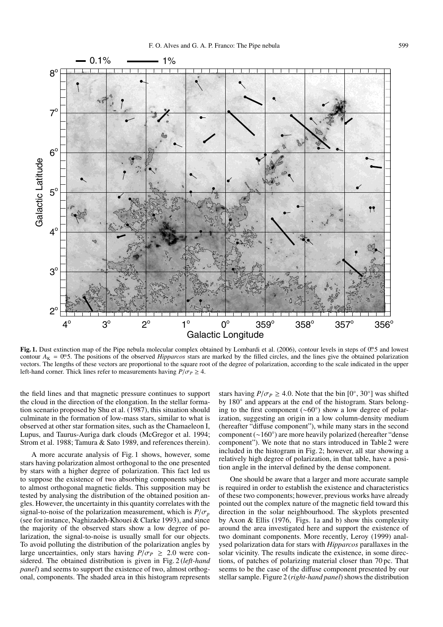

Fig. 1. Dust extinction map of the Pipe nebula molecular complex obtained by Lombardi et al. (2006), contour levels in steps of 0. 5 and lowest contour  $A_K = 0$ . The positions of the observed *Hipparcos* stars are marked by the filled circles, and the lines give the obtained polarization vectors. The lengths of these vectors are proportional to the square root of the degree of polarization, according to the scale indicated in the upper left-hand corner. Thick lines refer to measurements having  $P/\sigma_P \geq 4$ .

the field lines and that magnetic pressure continues to support the cloud in the direction of the elongation. In the stellar formation scenario proposed by Shu et al. (1987), this situation should culminate in the formation of low-mass stars, similar to what is observed at other star formation sites, such as the Chamaeleon I, Lupus, and Taurus-Auriga dark clouds (McGregor et al. 1994; Strom et al. 1988; Tamura & Sato 1989, and references therein).

A more accurate analysis of Fig. 1 shows, however, some stars having polarization almost orthogonal to the one presented by stars with a higher degree of polarization. This fact led us to suppose the existence of two absorbing components subject to almost orthogonal magnetic fields. This supposition may be tested by analysing the distribution of the obtained position angles. However, the uncertainty in this quantity correlates with the signal-to-noise of the polarization measurement, which is  $P/\sigma_p$ (see for instance, Naghizadeh-Khouei & Clarke 1993), and since the majority of the observed stars show a low degree of polarization, the signal-to-noise is usually small for our objects. To avoid polluting the distribution of the polarization angles by large uncertainties, only stars having  $P/\sigma_P \geq 2.0$  were considered. The obtained distribution is given in Fig. 2 (*left-hand panel*) and seems to support the existence of two, almost orthogonal, components. The shaded area in this histogram represents

stars having  $P/\sigma_P \geq 4.0$ . Note that the bin  $[0^\circ, 30^\circ]$  was shifted by 180° and appears at the end of the histogram. Stars belonging to the first component (∼60◦ ) show a low degree of polarization, suggesting an origin in a low column-density medium (hereafter "diffuse component"), while many stars in the second component (∼160◦) are more heavily polarized (hereafter "dense component"). We note that no stars introduced in Table 2 were included in the histogram in Fig. 2; however, all star showing a relatively high degree of polarization, in that table, have a position angle in the interval defined by the dense component.

One should be aware that a larger and more accurate sample is required in order to establish the existence and characteristics of these two components; however, previous works have already pointed out the complex nature of the magnetic field toward this direction in the solar neighbourhood. The skyplots presented by Axon & Ellis (1976, Figs. 1a and b) show this complexity around the area investigated here and support the existence of two dominant components. More recently, Leroy (1999) analysed polarization data for stars with *Hipparcos* parallaxes in the solar vicinity. The results indicate the existence, in some directions, of patches of polarizing material closer than 70 pc. That seems to be the case of the diffuse component presented by our stellar sample. Figure 2 (*right-hand panel*) shows the distribution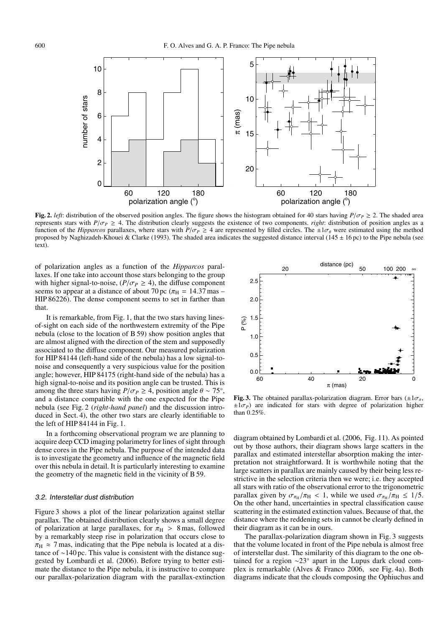

**Fig. 2.** *left*: distribution of the observed position angles. The figure shows the histogram obtained for 40 stars having  $P/\sigma_P \ge 2$ . The shaded area represents stars with  $P/\sigma_P \geq 4$ . The distribution clearly suggests the existence of two components. *right*: distribution of position angles as a function of the *Hipparcos* parallaxes, where stars with  $P/\sigma_P \ge 4$  are represented by filled circles. The  $\pm 1\sigma_\theta$  were estimated using the method proposed by Naghizadeh-Khouei & Clarke (1993). The shaded area indicates the suggested distance interval (145  $\pm$  16 pc) to the Pipe nebula (see text).

of polarization angles as a function of the *Hipparcos* parallaxes. If one take into account those stars belonging to the group with higher signal-to-noise,  $(P/\sigma_P \ge 4)$ , the diffuse component seems to appear at a distance of about 70 pc ( $\pi_{\text{H}}$  = 14.37 mas – HIP 86226). The dense component seems to set in farther than that.

It is remarkable, from Fig. 1, that the two stars having linesof-sight on each side of the northwestern extremity of the Pipe nebula (close to the location of B 59) show position angles that are almost aligned with the direction of the stem and supposedly associated to the diffuse component. Our measured polarization for HIP 84144 (left-hand side of the nebula) has a low signal-tonoise and consequently a very suspicious value for the position angle; however, HIP 84175 (right-hand side of the nebula) has a high signal-to-noise and its position angle can be trusted. This is among the three stars having  $P/\sigma_P \geq 4$ , position angle  $\theta \sim 75^\circ$ , and a distance compatible with the one expected for the Pipe nebula (see Fig. 2 (*right-hand panel*) and the discussion introduced in Sect. 4), the other two stars are clearly identifiable to the left of HIP 84144 in Fig. 1.

In a forthcoming observational program we are planning to acquire deep CCD imaging polarimetry for lines of sight through dense cores in the Pipe nebula. The purpose of the intended data is to investigate the geometry and influence of the magnetic field over this nebula in detail. It is particularly interesting to examine the geometry of the magnetic field in the vicinity of B 59.

#### 3.2. Interstellar dust distribution

Figure 3 shows a plot of the linear polarization against stellar parallax. The obtained distribution clearly shows a small degree of polarization at large parallaxes, for  $\pi_H > 8$  mas, followed by a remarkably steep rise in polarization that occurs close to  $\pi_{\text{H}} \approx 7 \text{ mas}$ , indicating that the Pipe nebula is located at a distance of ∼140 pc. This value is consistent with the distance suggested by Lombardi et al. (2006). Before trying to better estimate the distance to the Pipe nebula, it is instructive to compare our parallax-polarization diagram with the parallax-extinction



**Fig. 3.** The obtained parallax-polarization diagram. Error bars  $(\pm 1\sigma_\pi,$  $\pm 1\sigma$ <sup>*P*</sup>) are indicated for stars with degree of polarization higher than 0.25%.

diagram obtained by Lombardi et al. (2006, Fig. 11). As pointed out by those authors, their diagram shows large scatters in the parallax and estimated interstellar absorption making the interpretation not straightforward. It is worthwhile noting that the large scatters in parallax are mainly caused by their being less restrictive in the selection criteria then we were; i.e. they accepted all stars with ratio of the observational error to the trigonometric parallax given by  $\sigma_{\pi_{\rm H}}/\pi_{\rm H} < 1$ , while we used  $\sigma_{\pi_{\rm H}}/\pi_{\rm H} \leq 1/5$ . On the other hand, uncertainties in spectral classification cause scattering in the estimated extinction values. Because of that, the distance where the reddening sets in cannot be clearly defined in their diagram as it can be in ours.

The parallax-polarization diagram shown in Fig. 3 suggests that the volume located in front of the Pipe nebula is almost free of interstellar dust. The similarity of this diagram to the one obtained for a region ∼23◦ apart in the Lupus dark cloud complex is remarkable (Alves & Franco 2006, see Fig. 4a). Both diagrams indicate that the clouds composing the Ophiuchus and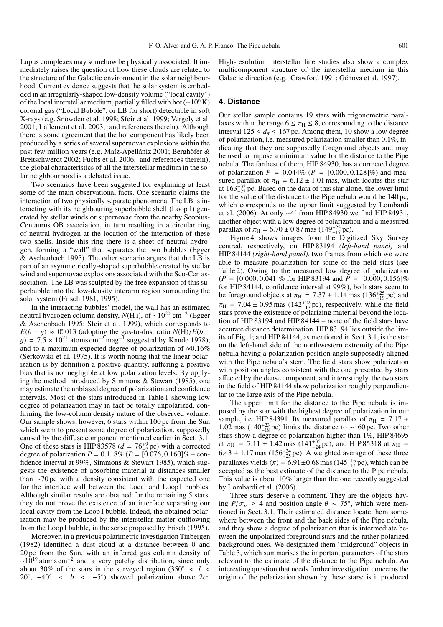Lupus complexes may somehow be physically associated. It immediately raises the question of how these clouds are related to the structure of the Galactic environment in the solar neighbourhood. Current evidence suggests that the solar system is embedded in an irregularly-shaped low-density volume ("local cavity") of the local interstellar medium, partially filled with hot ( $\sim$ 10<sup>6</sup> K) coronal gas ("Local Bubble", or LB for short) detectable in soft X-rays (e.g. Snowden et al. 1998; Sfeir et al. 1999; Vergely et al. 2001; Lallement et al. 2003, and references therein). Although there is some agreement that the hot component has likely been produced by a series of several supernovae explosions within the past few million years (e.g. Maíz-Apellániz 2001; Berghöfer & Breitschwerdt 2002; Fuchs et al. 2006, and references therein), the global characteristics of all the interstellar medium in the solar neighbourhood is a debated issue.

Two scenarios have been suggested for explaining at least some of the main observational facts. One scenario claims the interaction of two physically separate phenomena. The LB is interacting with its neighbouring superbubble shell (Loop I) generated by stellar winds or supernovae from the nearby Scopius-Centaurus OB association, in turn resulting in a circular ring of neutral hydrogen at the location of the interaction of these two shells. Inside this ring there is a sheet of neutral hydrogen, forming a "wall" that separates the two bubbles (Egger & Aschenbach 1995). The other scenario argues that the LB is part of an asymmetrically-shaped superbubble created by stellar wind and supernovae explosions associated with the Sco-Cen association. The LB was sculpted by the free expansion of this superbubble into the low-density interarm region surrounding the solar system (Frisch 1981, 1995).

In the interacting bubbles' model, the wall has an estimated neutral hydrogen column density, *N*(H<sub>I</sub>), of ~10<sup>20</sup> cm<sup>-2</sup> (Egger & Aschenbach 1995; Sfeir et al. 1999), which corresponds to  $E(b - y) \approx 0.0013$  (adopting the gas-to-dust ratio  $N(\hat{H})/E(b - z)$  $y$ ) = 7.5 × 10<sup>21</sup> atoms cm<sup>-2</sup> mag<sup>-1</sup> suggested by Knude 1978), and to a maximum expected degree of polarization of  $\approx 0.16\%$ (Serkowski et al. 1975). It is worth noting that the linear polarization is by definition a positive quantity, suffering a positive bias that is not negligible at low polarization levels. By applying the method introduced by Simmons & Stewart (1985), one may estimate the unbiased degree of polarization and confidence intervals. Most of the stars introduced in Table 1 showing low degree of polarization may in fact be totally unpolarized, confirming the low-column density nature of the observed volume. Our sample shows, however, 6 stars within 100 pc from the Sun which seem to present some degree of polarization, supposedly caused by the diffuse component mentioned earlier in Sect. 3.1. One of these stars is HIP 83578 ( $d = 76^{+9}_{-7}$  pc) with a corrected degree of polarization  $P = 0.118\%$  ( $P = [0.076, 0.160]\%$  – confidence interval at 99%, Simmons & Stewart 1985), which suggests the existence of absorbing material at distances smaller than ∼70 pc with a density consistent with the expected one for the interface wall between the Local and Loop I bubbles. Although similar results are obtained for the remaining 5 stars, they do not prove the existence of an interface separating our local cavity from the Loop I bubble. Indead, the obtained polarization may be produced by the interstellar matter outflowing from the Loop I bubble, in the sense proposed by Frisch (1995).

Moreover, in a previous polarimetric investigation Tinbergen (1982) identified a dust cloud at a distance between 0 and 20 pc from the Sun, with an inferred gas column density of  $\sim 10^{19}$  atoms cm<sup>-2</sup> and a very patchy distribution, since only about 30% of the stars in the surveyed region (350◦ < *l* < 20°,  $-40$ ° < *b* <  $-5$ °) showed polarization above  $2\sigma$ .

High-resolution interstellar line studies also show a complex multicomponent structure of the interstellar medium in this Galactic direction (e.g., Crawford 1991; Génova et al. 1997).

#### **4. Distance**

Our stellar sample contains 19 stars with trigonometric parallaxes within the range  $6 \leq \pi_H \leq 8$ , corresponding to the distance interval  $125 \le d_{\pi} \le 167$  pc. Among them, 10 show a low degree of polarization, i.e. measured polarization smaller than 0.1%, indicating that they are supposedly foreground objects and may be used to impose a minimum value for the distance to the Pipe nebula. The farthest of them, HIP 84930, has a corrected degree of polarization  $P = 0.044\%$  ( $P = [0.000, 0.128]\%$ ) and measured parallax of  $\pi_{\text{H}} = 6.12 \pm 1.01$  mas, which locates this star at  $163_{-23}^{+33}$  pc. Based on the data of this star alone, the lower limit for the value of the distance to the Pipe nebula would be 140 pc, which corresponds to the upper limit suggested by Lombardi et al. (2006). At only ∼4' from HIP 84930 we find HIP 84931, another object with a low degree of polarization and a measured parallax of  $\pi_H = 6.70 \pm 0.87$  mas (149<sup>+23</sup> pc).<br>Figure 4 shows images from the Digitized Sky Survey

centred, respectively, on HIP 83194 *(left-hand panel)* and HIP 84144 *(right-hand panel)*, two frames from which we were able to measure polarization for some of the field stars (see Table 2). Owing to the measured low degree of polarization  $(P = [0.000, 0.041]\%$  for HIP 83194 and  $\overline{P} = [0.000, 0.156]\%$ for HIP 84144, confidence interval at 99%), both stars seem to be foreground objects at  $\pi_{\text{H}} = 7.37 \pm 1.14 \text{ mas}$  (136<sup>+25</sup> pc) and  $\pi_{\text{H}} = 7.04 \pm 0.95 \text{ mas}$  (142<sup>+22</sup> pc), respectively, while the field stars prove the existence of polarizing material beyond the location of HIP 83194 and HIP 84144 – none of the field stars have accurate distance determination. HIP 83194 lies outside the limits of Fig. 1; and HIP 84144, as mentioned in Sect. 3.1, is the star on the left-hand side of the northwestern extremity of the Pipe nebula having a polarization position angle supposedly aligned with the Pipe nebula's stem. The field stars show polarization with position angles consistent with the one presented by stars affected by the dense component, and interestingly, the two stars in the field of HIP 84144 show polarization roughly perpendicular to the large axis of the Pipe nebula.

The upper limit for the distance to the Pipe nebula is imposed by the star with the highest degree of polarization in our sample, i.e. HIP 84391. Its measured parallax of  $\pi_{\text{H}}$  = 7.17 ± 1.02 mas (140<sup>+23</sup> pc) limits the distance to ∼160 pc. Two other stars show a degree of polarization higher than 1%, HIP 84695 at  $\pi_{\text{H}}$  = 7.11 ± 1.42 mas (141<sup>+35</sup> pc), and HIP 85318 at  $\pi_{\text{H}}$  =  $6.43 \pm 1.17$  mas ( $156^{+34}_{-25}$  pc). A weighted average of these three parallaxes yields  $\langle \pi \rangle = 6.91 \pm 0.68$  mas ( $145^{+16}_{-14}$  pc), which can be accepted as the best estimate of the distance to the Pipe nebula. This value is about 10% larger than the one recently suggested by Lombardi et al. (2006).

Three stars deserve a comment. They are the objects having  $P/\sigma_p \geq 4$  and position angle  $\theta \sim 75^{\circ}$ , which were mentioned in Sect. 3.1. Their estimated distance locate them somewhere between the front and the back sides of the Pipe nebula, and they show a degree of polarization that is intermediate between the unpolarized foreground stars and the rather polarized background ones. We designated them "midground" objects in Table 3, which summarises the important parameters of the stars relevant to the estimate of the distance to the Pipe nebula. An interesting question that needs further investigation concerns the origin of the polarization shown by these stars: is it produced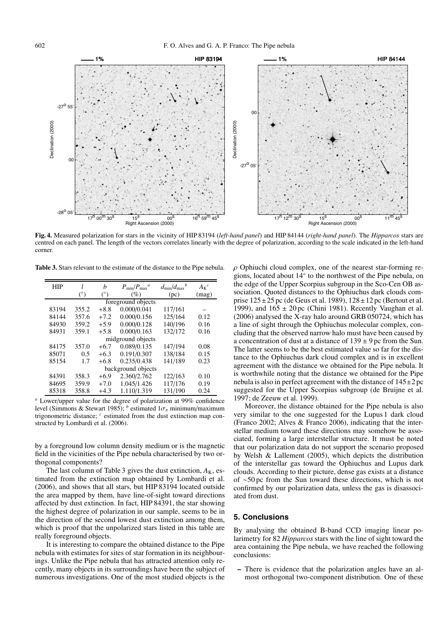

**Fig. 4.** Measured polarization for stars in the vicinity of HIP 83194 (*left-hand panel*) and HIP 84144 (*right-hand panel*). The *Hipparcos* stars are centred on each panel. The length of the vectors correlates linearly with the degree of polarization, according to the scale indicated in the left-hand corner.

**Table 3.** Stars relevant to the estimate of the distance to the Pipe nebula.

| <b>HIP</b>         |            | h          | $P_{\min}/P_{\max}^a$ | $d_{\min}/d_{\max}$ <sup>b</sup> | $A_{K}{}^{c}$ |  |  |  |  |
|--------------------|------------|------------|-----------------------|----------------------------------|---------------|--|--|--|--|
|                    | $(^\circ)$ | $(^\circ)$ | (%)                   | (pc)                             | (mag)         |  |  |  |  |
| foreground objects |            |            |                       |                                  |               |  |  |  |  |
| 83194              | 355.2      | $+8.8$     | 0.000/0.041           | 117/161                          |               |  |  |  |  |
| 84144              | 357.6      | $+7.2$     | 0.000/0.156           | 125/164                          | 0.12          |  |  |  |  |
| 84930              | 359.2      | $+5.9$     | 0.000/0.128           | 140/196                          | 0.16          |  |  |  |  |
| 84931              | 359.1      | $+5.8$     | 0.000/0.163           | 132/172                          | 0.16          |  |  |  |  |
| midground objects  |            |            |                       |                                  |               |  |  |  |  |
| 84175              | 357.0      | $+6.7$     | 0.089/0.135           | 147/194                          | 0.08          |  |  |  |  |
| 85071              | 0.5        | $+6.3$     | 0.191/0.307           | 138/184                          | 0.15          |  |  |  |  |
| 85154              | 1.7        | $+6.8$     | 0.235/0.438           | 141/189                          | 0.23          |  |  |  |  |
| background objects |            |            |                       |                                  |               |  |  |  |  |
| 84391              | 358.3      | $+6.9$     | 2.360/2.762           | 122/163                          | 0.10          |  |  |  |  |
| 84695              | 359.9      | $+7.0$     | 1.045/1.426           | 117/176                          | 0.19          |  |  |  |  |
| 85318              | 358.8      | $+4.3$     | 1.110/1.319           | 131/190                          | 0.24          |  |  |  |  |

*<sup>a</sup>* Lower/upper value for the degree of polarization at 99% confidence level (Simmons & Stewart 1985); <sup>*b*</sup> estimated  $1\sigma_{\pi}$  minimum/maximum trigonometric distance; *<sup>c</sup>* estimated from the dust extinction map constructed by Lombardi et al. (2006).

by a foreground low column density medium or is the magnetic field in the vicinities of the Pipe nebula characterised by two orthogonal components?

The last column of Table 3 gives the dust extinction,  $A_K$ , estimated from the extinction map obtained by Lombardi et al. (2006), and shows that all stars, but HIP 83194 located outside the area mapped by them, have line-of-sight toward directions affected by dust extinction. In fact, HIP 84391, the star showing the highest degree of polarization in our sample, seems to be in the direction of the second lowest dust extinction among them, which is proof that the unpolarized stars listed in this table are really foreground objects.

It is interesting to compare the obtained distance to the Pipe nebula with estimates for sites of star formation in its neighbourings. Unlike the Pipe nebula that has attracted attention only recently, many objects in its surroundings have been the subject of numerous investigations. One of the most studied objects is the  $\rho$  Ophiuchi cloud complex, one of the nearest star-forming regions, located about 14◦ to the northwest of the Pipe nebula, on the edge of the Upper Scorpius subgroup in the Sco-Cen OB association. Quoted distances to the Ophiuchus dark clouds comprise  $125 \pm 25$  pc (de Geus et al. 1989),  $128 \pm 12$  pc (Bertout et al. 1999), and  $165 \pm 20$  pc (Chini 1981). Recently Vaughan et al. (2006) analysed the X-ray halo around GRB 050724, which has a line of sight through the Ophiuchus molecular complex, concluding that the observed narrow halo must have been caused by a concentration of dust at a distance of  $139 \pm 9$  pc from the Sun. The latter seems to be the best estimated value so far for the distance to the Ophiuchus dark cloud complex and is in excellent agreement with the distance we obtained for the Pipe nebula. It is worthwhile noting that the distance we obtained for the Pipe nebula is also in perfect agreement with the distance of  $145\pm2$  pc suggested for the Upper Scorpius subgroup (de Bruijne et al. 1997; de Zeeuw et al. 1999).

Moreover, the distance obtained for the Pipe nebula is also very similar to the one suggested for the Lupus 1 dark cloud (Franco 2002; Alves & Franco 2006), indicating that the interstellar medium toward these directions may somehow be associated, forming a large interstellar structure. It must be noted that our polarization data do not support the scenario proposed by Welsh & Lallement (2005), which depicts the distribution of the interstellar gas toward the Ophiuchus and Lupus dark clouds. According to their picture, dense gas exists at a distance of ∼50 pc from the Sun toward these directions, which is not confirmed by our polarization data, unless the gas is disassociated from dust.

### **5. Conclusions**

By analysing the obtained B-band CCD imaging linear polarimetry for 82 *Hipparcos* stars with the line of sight toward the area containing the Pipe nebula, we have reached the following conclusions:

**–** There is evidence that the polarization angles have an almost orthogonal two-component distribution. One of these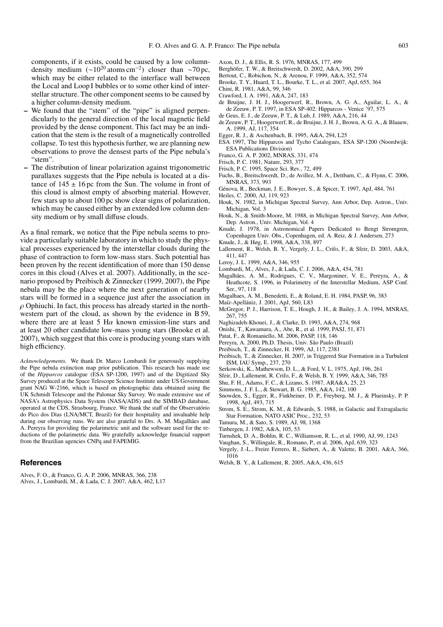components, if it exists, could be caused by a low columndensity medium  $({\sim}10^{20} \text{ atoms cm}^{-2})$  closer than ∼70 pc, which may be either related to the interface wall between the Local and Loop I bubbles or to some other kind of interstellar structure. The other component seems to be caused by a higher column-density medium.

- **–** We found that the "stem" of the "pipe" is aligned perpendicularly to the general direction of the local magnetic field provided by the dense component. This fact may be an indication that the stem is the result of a magnetically controlled collapse. To test this hypothesis further, we are planning new observations to prove the densest parts of the Pipe nebula's "stem".
- **–** The distribution of linear polarization against trigonometric parallaxes suggests that the Pipe nebula is located at a distance of  $145 \pm 16$  pc from the Sun. The volume in front of this cloud is almost empty of absorbing material. However, few stars up to about 100 pc show clear signs of polarization, which may be caused either by an extended low column density medium or by small diffuse clouds.

As a final remark, we notice that the Pipe nebula seems to provide a particularly suitable laboratory in which to study the physical processes experienced by the interstellar clouds during the phase of contraction to form low-mass stars. Such potential has been proven by the recent identification of more than 150 dense cores in this cloud (Alves et al. 2007). Additionally, in the scenario proposed by Preibisch & Zinnecker (1999, 2007), the Pipe nebula may be the place where the next generation of nearby stars will be formed in a sequence just after the association in  $\rho$  Ophiuchi. In fact, this process has already started in the northwestern part of the cloud, as shown by the evidence in B 59, where there are at least 5 H $\alpha$  known emission-line stars and at least 20 other candidate low-mass young stars (Brooke et al. 2007), which suggest that this core is producing young stars with high efficiency.

*Acknowledgements.* We thank Dr. Marco Lombardi for generously supplying the Pipe nebula extinction map prior publication. This research has made use of the *Hipparcos* catalogue (ESA SP-1200, 1997) and of the Digitized Sky Survey produced at the Space Telescope Science Institute under US Government grant NAG W-2166, which is based on photographic data obtained using the UK Schmidt Telescope and the Palomar Sky Survey. We made extensive use of NASA's Astrophysics Data System (NASA/ADS) and the SIMBAD database, operated at the CDS, Strasbourg, France. We thank the staff of the Observatório do Pico dos Dias (LNA/MCT, Brazil) for their hospitality and invaluable help during our observing runs. We are also grateful to Drs. A. M. Magalhães and A. Pereyra for providing the polarimetric unit and the software used for the reductions of the polarimetric data. We gratefully acknowledge financial support from the Brazilian agencies CNPq and FAPEMIG.

#### **References**

Alves, F. O., & Franco, G. A. P. 2006, MNRAS, 366, 238 Alves, J., Lombardi, M., & Lada, C. J. 2007, A&A, 462, L17

- Axon, D. J., & Ellis, R. S. 1976, MNRAS, 177, 499
- Berghöfer, T. W., & Breitschwerdt, D. 2002, A&A, 390, 299
- Bertout, C., Robichon, N., & Arenou, F. 1999, A&A, 352, 574
- Brooke, T. Y., Huard, T. L., Bourke, T. L., et al. 2007, ApJ, 655, 364
- Chini, R. 1981, A&A, 99, 346
- Crawford, I. A. 1991, A&A, 247, 183
- de Bruijne, J. H. J., Hoogerwerf, R., Brown, A. G. A., Aguilar, L. A., & de Zeeuw, P. T. 1997, in ESA SP-402: Hipparcos - Venice '97, 575
- de Geus, E. J., de Zeeuw, P. T., & Lub, J. 1989, A&A, 216, 44
- de Zeeuw, P. T., Hoogerwerf, R., de Bruijne, J. H. J., Brown, A. G. A., & Blaauw, A. 1999, AJ, 117, 354
- Egger, R. J., & Aschenbach, B. 1995, A&A, 294, L25
- ESA 1997, The Hipparcos and Tycho Catalogues, ESA SP-1200 (Noordwijk: ESA Publications Division)
- Franco, G. A. P. 2002, MNRAS, 331, 474
- Frisch, P. C. 1981, Nature, 293, 377
- Frisch, P. C. 1995, Space Sci. Rev., 72, 499
- Fuchs, B., Breitschwerdt, D., de Avillez, M. A., Dettbarn, C., & Flynn, C. 2006, MNRAS, 373, 993
- Génova, R., Beckman, J. E., Bowyer, S., & Spicer, T. 1997, ApJ, 484, 761 Heiles, C. 2000, AJ, 119, 923
- Houk, N. 1982, in Michigan Spectral Survey, Ann Arbor, Dep. Astron., Univ. Michigan, Vol. 3
- Houk, N., & Smith-Moore, M. 1988, in Michigan Spectral Survey, Ann Arbor, Dep. Astron., Univ. Michigan, Vol. 4
- Knude, J. 1978, in Astronomical Papers Dedicated to Bengt Stromgren, Copenhagen Univ. Obs., Copenhagen, ed. A. Reiz, & J. Andersen, 273
- Knude, J., & Høg, E. 1998, A&A, 338, 897
- Lallement, R., Welsh, B. Y., Vergely, J. L., Crifo, F., & Sfeir, D. 2003, A&A, 411, 447
- Leroy, J. L. 1999, A&A, 346, 955
- Lombardi, M., Alves, J., & Lada, C. J. 2006, A&A, 454, 781
- Magalhães, A. M., Rodrigues, C. V., Margoniner, V. E., Pereyra, A., & Heathcote, S. 1996, in Polarimetry of the Interstellar Medium, ASP Conf. Ser., 97, 118
- Magalhaes, A. M., Benedetti, E., & Roland, E. H. 1984, PASP, 96, 383
- Maíz-Apellániz, J. 2001, ApJ, 560, L83
- McGregor, P. J., Harrison, T. E., Hough, J. H., & Bailey, J. A. 1994, MNRAS, 267, 755
- Naghizadeh-Khouei, J., & Clarke, D. 1993, A&A, 274, 968
- Onishi, T., Kawamura, A., Abe, R., et al. 1999, PASJ, 51, 871
- Patat, F., & Romaniello, M. 2006, PASP, 118, 146
- Pereyra, A. 2000, Ph.D. Thesis, Univ. São Paulo (Brazil)
- Preibisch, T., & Zinnecker, H. 1999, AJ, 117, 2381
- Preibisch, T., & Zinnecker, H. 2007, in Triggered Star Formation in a Turbulent ISM, IAU Symp., 237, 270
- Serkowski, K., Mathewson, D. L., & Ford, V. L. 1975, ApJ, 196, 261
- Sfeir, D., Lallement, R. Crifo, F., & Welsh, B. Y. 1999, A&A, 346, 785
- Shu, F. H., Adams, F. C., & Lizano, S. 1987, ARA&A, 25, 23
- Simmons, J. F. L., & Stewart, B. G. 1985, A&A, 142, 100
- Snowden, S., Egger, R., Finkbeiner, D. P., Freyberg, M. J., & Plueinsky, P. P. 1998, ApJ, 493, 715
- Strom, S. E., Strom, K. M., & Edwards, S. 1988, in Galactic and Extragalactic Star Formation, NATO ASIC Proc., 232, 53
- Tamura, M., & Sato, S. 1989, AJ, 98, 1368
- Tinbergen, J. 1982, A&A, 105, 53
- Turnshek, D. A., Bohlin, R. C., Williamson, R. L., et al. 1990, AJ, 99, 1243
- Vaughan, S., Willingale, R., Romano, P., et al. 2006, ApJ, 639, 323
- Vergely, J.-L., Freire Ferrero, R., Siebert, A., & Valette, B. 2001, A&A, 366, 1016
- Welsh, B. Y., & Lallement, R. 2005, A&A, 436, 615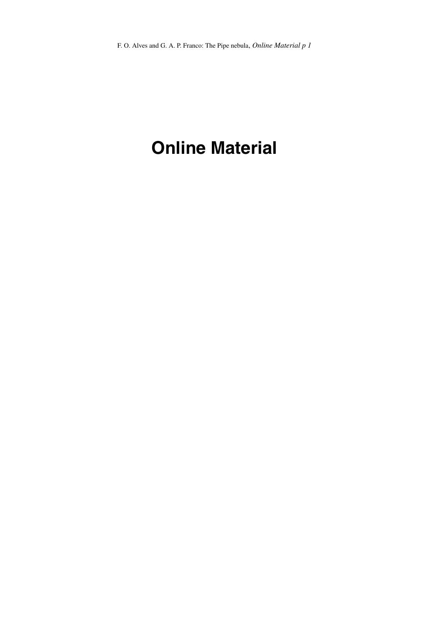# **Online Material**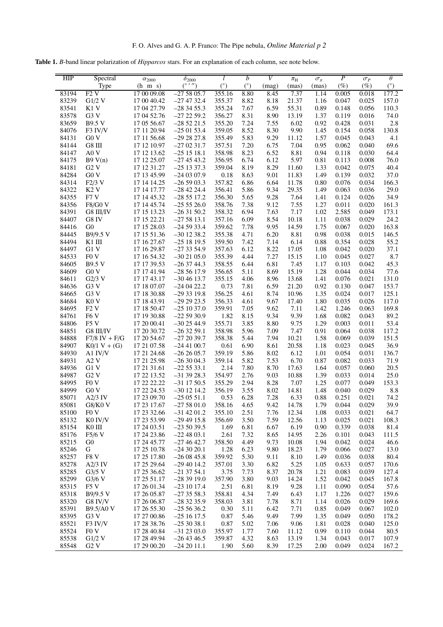**Table 1.** *B*-band linear polarization of *Hipparcos* stars. For an explanation of each column, see note below.

| HIP   | Spectral          | $\alpha_{2000}$ | $\delta_{2000}$ |        | b    | V     | $\pi_{\rm H}$ | $\sigma_{\pi}$ | $\boldsymbol{P}$ | $\sigma_P$ | $\theta$ |
|-------|-------------------|-----------------|-----------------|--------|------|-------|---------------|----------------|------------------|------------|----------|
|       | Type              | $(h \ m s)$     | (0, 1)          | (°)    | (°)  | (mag) | (mas)         | (mas)          | $(\%)$           | $(\%)$     | (°)      |
| 83194 | F2V               | 17 00 09.08     | $-275805.7$     | 355.16 | 8.80 | 8.45  | 7.37          | 1.14           | 0.005            | 0.018      | 177.2    |
|       |                   | 17 00 40.42     |                 | 355.37 | 8.82 |       |               |                |                  |            | 157.0    |
| 83239 | $G1/2$ V          |                 | $-27$ 47 32.4   |        |      | 8.18  | 21.37         | 1.16           | 0.047            | 0.025      |          |
| 83541 | K1 V              | 17 04 27.79     | $-283455.3$     | 355.24 | 7.67 | 6.59  | 55.31         | 0.89           | 0.148            | 0.056      | 110.3    |
| 83578 | G3V               | 17 04 52.76     | $-272259.2$     | 356.27 | 8.31 | 8.90  | 13.19         | 1.37           | 0.119            | 0.016      | 74.0     |
| 83659 | <b>B9.5 V</b>     | 17 05 56.67     | $-285221.5$     | 355.20 | 7.24 | 7.55  | 6.02          | 0.92           | 0.428            | 0.031      | 2.8      |
| 84076 | F3 IV/V           | 17 11 20.94     | $-250153.4$     | 359.05 | 8.52 | 8.30  | 9.90          | 1.45           | 0.154            | 0.058      | 130.8    |
| 84131 |                   |                 |                 |        |      |       |               |                |                  | 0.043      |          |
|       | G0V               | 17 11 56.68     | $-292827.8$     | 355.49 | 5.83 | 9.29  | 11.12         | 1.57           | 0.045            |            | 4.1      |
| 84144 | G8 III            | 17 12 10.97     | $-270231.7$     | 357.51 | 7.20 | 6.75  | 7.04          | 0.95           | 0.062            | 0.040      | 69.6     |
| 84147 | A0 V              | 17 12 13.62     | $-251518.1$     | 358.98 | 8.23 | 6.52  | 8.81          | 0.94           | 0.118            | 0.030      | 64.4     |
| 84175 | B9V(n)            | 17 12 25.07     | $-274543.2$     | 356.95 | 6.74 | 6.12  | 5.97          | 0.81           | 0.113            | 0.008      | 76.0     |
| 84181 | G2 V              | 17 12 31.27     | $-25$ 13 37.3   | 359.04 | 8.19 | 8.29  | 11.60         | 1.33           | 0.042            | 0.075      | 40.4     |
|       |                   |                 |                 |        |      |       |               |                |                  |            |          |
| 84284 | G0V               | 17 13 45.99     | $-240307.9$     | 0.18   | 8.63 | 9.01  | 11.83         | 1.49           | 0.139            | 0.032      | 37.0     |
| 84314 | $F2/3$ V          | 17 14 14.25     | $-265903.3$     | 357.82 | 6.86 | 6.64  | 11.78         | 0.80           | 0.076            | 0.034      | 166.3    |
| 84322 | K <sub>2</sub> V  | 17 14 17.77     | $-28$ 42 24.4   | 356.41 | 5.86 | 9.34  | 29.35         | 1.49           | 0.063            | 0.036      | 29.0     |
| 84355 | F7V               | 17 14 45.32     | $-285517.2$     | 356.30 | 5.65 | 9.28  | 7.64          | 1.41           | 0.124            | 0.026      | 34.9     |
| 84356 | <b>F8/G0 V</b>    | 17 14 45.74     | $-25526.0$      | 358.76 | 7.38 | 9.12  | 7.55          | 1.27           | 0.011            | 0.020      | 161.3    |
|       |                   |                 |                 |        |      |       |               |                |                  |            |          |
| 84391 | G8 III/IV         | 17 15 13.23     | $-263150.2$     | 358.32 | 6.94 | 7.63  | 7.17          | 1.02           | 2.585            | 0.049      | 173.1    |
| 84407 | G8 IV             | 17 15 22.21     | $-275813.1$     | 357.16 | 6.09 | 8.54  | 10.18         | 1.11           | 0.038            | 0.029      | 24.2     |
| 84416 | G <sub>0</sub>    | 17 15 28.03     | $-245933.4$     | 359.62 | 7.78 | 9.95  | 14.59         | 1.75           | 0.067            | 0.020      | 163.8    |
| 84445 | B9/9.5 V          | 17 15 51.36     | $-30$ 12 38.2   | 355.38 | 4.71 | 6.20  | 8.81          | 0.98           | 0.038            | 0.015      | 146.5    |
| 84494 | K1 III            | 17 16 27.67     | $-251819.5$     | 359.50 | 7.42 | 7.14  | 6.14          | 0.88           | 0.354            | 0.028      | 55.2     |
|       |                   |                 |                 |        |      |       |               |                |                  |            |          |
| 84497 | G1 V              | 17 16 29.87     | $-273354.9$     | 357.63 | 6.12 | 8.22  | 17.05         | 1.08           | 0.042            | 0.020      | 37.1     |
| 84533 | F <sub>0</sub> V  | 17 16 54.32     | $-302105.0$     | 355.39 | 4.44 | 7.27  | 15.15         | 1.10           | 0.045            | 0.027      | 8.7      |
| 84605 | <b>B9.5 V</b>     | 17 17 39.53     | $-263744.3$     | 358.55 | 6.44 | 6.81  | 7.45          | 1.17           | 0.103            | 0.042      | 45.3     |
| 84609 | G0V               | 17 17 41.94     | $-285617.9$     | 356.65 | 5.11 | 8.69  | 15.19         | 1.28           | 0.044            | 0.034      | 77.6     |
| 84611 | $G2/3$ V          | 17 17 43.17     | $-304613.7$     | 355.15 | 4.06 | 8.96  | 13.68         | 1.41           | 0.076            | 0.021      | 131.0    |
|       |                   |                 |                 |        |      |       |               |                |                  |            |          |
| 84636 | G3V               | 17 18 07.07     | $-240422.2$     | 0.73   | 7.81 | 6.59  | 21.20         | 0.92           | 0.130            | 0.047      | 153.7    |
| 84665 | G3V               | 17 18 30.88     | $-293319.8$     | 356.25 | 4.61 | 8.74  | 10.96         | 1.35           | 0.024            | 0.017      | 125.1    |
| 84684 | K <sub>0</sub> V  | 17 18 43.91     | $-292923.5$     | 356.33 | 4.61 | 9.67  | 17.40         | 1.80           | 0.035            | 0.026      | 117.0    |
| 84695 | F2V               | 17 18 50.47     | $-251037.0$     | 359.91 | 7.05 | 9.62  | 7.11          | 1.42           | 1.246            | 0.063      | 169.8    |
| 84761 | F <sub>6</sub> V  | 17 19 30.88     | $-225930.9$     | 1.82   | 8.15 | 9.34  | 9.39          | 1.68           | 0.082            | 0.043      | 89.2     |
|       |                   |                 |                 |        |      |       |               |                |                  |            |          |
| 84806 | F <sub>5</sub> V  | 17 20 00.41     | $-302544.9$     | 355.71 | 3.85 | 8.80  | 9.75          | 1.29           | 0.003            | 0.011      | 53.4     |
| 84851 | G8 III/IV         | 17 20 30.72     | $-263259.1$     | 358.98 | 5.96 | 7.09  | 7.47          | 0.91           | 0.064            | 0.038      | 117.2    |
| 84888 | $F7/8$ IV + $F/G$ | 17 20 54.67     | $-272039.7$     | 358.38 | 5.44 | 7.94  | 10.21         | 1.58           | 0.069            | 0.039      | 151.5    |
| 84907 | $K0/1 V + (G)$    | 17 21 07.58     | $-24$ 41 00.7   | 0.61   | 6.90 | 8.61  | 20.58         | 1.18           | 0.023            | 0.045      | 36.9     |
| 84930 | A1 $IV/V$         | 17 21 24.68     | $-262605.7$     | 359.19 | 5.86 | 8.02  | 6.12          | 1.01           | 0.054            | 0.031      | 136.7    |
|       |                   |                 |                 |        |      |       |               |                |                  |            |          |
| 84931 | A2 V              | 17 21 25.98     | $-263004.3$     | 359.14 | 5.82 | 7.53  | 6.70          | 0.87           | 0.082            | 0.033      | 71.9     |
| 84936 | G1 V              | 17 21 31.61     | $-225533.1$     | 2.14   | 7.80 | 8.70  | 17.63         | 1.64           | 0.057            | 0.060      | 20.5     |
| 84987 | G2V               | 17 22 13.52     | $-31$ 39 28.3   | 354.97 | 2.76 | 9.03  | 10.88         | 1.39           | 0.033            | 0.014      | 25.0     |
| 84995 | F <sub>0</sub> V  | 17 22 22.22     | $-31$ 17 50.5   | 355.29 | 2.94 | 8.28  | 7.07          | 1.25           | 0.077            | 0.049      | 153.3    |
| 84999 | G0V               | 17 22 24.53     | $-30$ 12 14.2   | 356.19 | 3.55 | 8.02  | 14.81         | 1.48           | 0.040            | 0.029      | 8.8      |
|       |                   |                 |                 |        |      |       |               |                |                  |            |          |
| 85071 | $A2/3$ IV         | 17 23 09.70     | $-250551.1$     | 0.53   | 6.28 | 7.28  | 6.33          | 0.88           | 0.251            | 0.021      | 74.2     |
| 85081 | G8/K0 V           | 17 23 17.67     | $-275801.0$     | 358.16 | 4.65 | 9.42  | 14.78         | 1.79           | 0.044            | 0.029      | 39.9     |
| 85100 | FOV               | 17 23 32.66     | $-31$ 42 01.2   | 355.10 | 2.51 | 7.76  | 12.34         | 1.08           | 0.033            | 0.021      | 64.7     |
| 85132 | K0 IV/V           | 17 23 53.99     | $-29$ 49 15.8   | 356.69 | 3.50 | 7.59  | 12.56         | 1.13           | 0.025            | 0.021      | 108.3    |
| 85154 | K0 III            | 17 24 03.51     | $-235039.5$     | 1.69   | 6.81 | 6.67  | 6.19          | 0.90           | 0.339            | 0.038      | 81.4     |
|       |                   |                 |                 |        |      |       |               |                |                  |            |          |
| 85176 | $F5/6$ V          | 17 24 23.86     | $-224803.1$     | 2.61   | 7.32 | 8.65  | 14.95         | 2.26           | 0.101            | 0.043      | 111.5    |
| 85215 | G0                | 17 24 45.77     | $-274642.7$     | 358.50 | 4.49 | 9.73  | 10.08         | 1.94           | 0.042            | 0.024      | 46.6     |
| 85246 | G                 | 17 25 10.78     | $-24$ 30 20.1   | 1.28   | 6.23 | 9.80  | 18.23         | 1.79           | 0.066            | 0.027      | 13.0     |
| 85257 | F8 <sub>V</sub>   | 17 25 17.80     | $-260845.8$     | 359.92 | 5.30 | 9.11  | 8.10          | 1.49           | 0.036            | 0.038      | 80.4     |
| 85278 | $A2/3$ IV         | 17 25 29.64     | $-29$ 40 14.2   | 357.01 | 3.30 | 6.82  | 5.25          | 1.05           | 0.633            | 0.057      | 170.6    |
|       |                   |                 |                 |        |      |       |               |                |                  |            |          |
| 85285 | $G3/5$ V          | 17 25 36.62     | $-21$ 37 54.1   | 3.75   | 7.73 | 8.37  | 20.78         | 1.21           | 0.083            | 0.039      | 127.4    |
| 85299 | $G3/6$ V          | 17 25 51.17     | $-283919.0$     | 357.90 | 3.80 | 9.03  | 14.24         | 1.52           | 0.042            | 0.045      | 167.8    |
| 85315 | F5 V              | 17 26 01.34     | $-23$ 10 17.4   | 2.51   | 6.81 | 8.19  | 9.28          | 1.11           | 0.090            | 0.054      | 57.6     |
| 85318 | B9/9.5 V          | 17 26 05.87     | $-273558.3$     | 358.81 | 4.34 | 7.49  | 6.43          | 1.17           | 1.226            | 0.027      | 159.6    |
|       |                   |                 |                 |        |      |       |               |                |                  |            | 169.6    |
| 85320 | G8 IV/V           | 17 26 06.87     | $-283235.9$     | 358.03 | 3.81 | 7.78  | 8.71          | 1.14           | 0.026            | 0.029      |          |
| 85391 | <b>B9.5/A0 V</b>  | 17 26 55.30     | $-255636.2$     | 0.30   | 5.11 | 6.42  | 7.71          | 0.85           | 0.049            | 0.067      | 102.0    |
| 85395 | G3 V              | 17 27 00.86     | $-251617.5$     | 0.87   | 5.46 | 9.49  | 7.99          | 1.35           | 0.049            | 0.050      | 178.2    |
| 85521 | F3 IV/V           | 17 28 38.76     | $-253038.1$     | 0.87   | 5.02 | 7.06  | 9.06          | 1.81           | 0.028            | 0.040      | 125.0    |
| 85524 | F <sub>0</sub> V  | 17 28 40.84     | $-31$ 23 03.0   | 355.97 | 1.77 | 7.60  | 11.12         | 0.99           | 0.110            | 0.044      | 80.5     |
| 85538 | $G1/2$ V          | 17 28 49.94     | $-26$ 43 46.5   | 359.87 | 4.32 | 8.63  | 13.19         | 1.34           | 0.043            | 0.017      | 107.9    |
|       |                   |                 |                 |        |      |       |               |                |                  |            |          |
| 85548 | G2V               | 17 29 00.20     | $-242011.1$     | 1.90   | 5.60 | 8.39  | 17.25         | 2.00           | 0.049            | 0.024      | 167.2    |